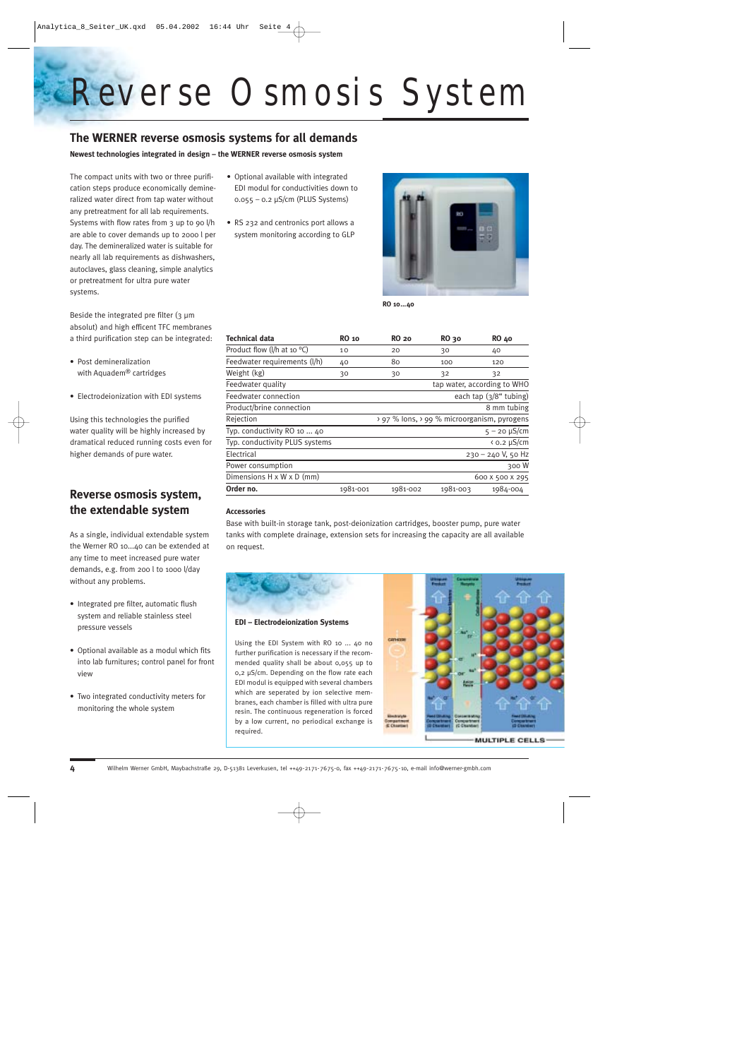# *R e v erse Osmosis System*

### **The WERNER reverse osmosis systems for all demands**

**Newest technologies integrated in design – the WERNER reverse osmosis system** 

The compact units with two or three purification steps produce economically demineralized water direct from tap water without any pretreatment for all lab requirements. Systems with flow rates from 3 up to 90 l/h are able to cover demands up to 2000 l per day. The demineralized water is suitable for nearly all lab requirements as dishwashers, autoclaves, glass cleaning, simple analytics or pretreatment for ultra pure water systems.

Beside the integrated pre filter  $(3 \mu m)$ absolut) and high efficent TFC membranes a third purification step can be integrated:

- Post demineralization with Aquadem® cartridges
- Electrodeionization with EDI systems

Using this technologies the purified water quality will be highly increased by dramatical reduced running costs even for higher demands of pure water.

## **Reverse osmosis system, the extendable system**

As a single, individual extendable system the Werner RO 10...40 can be extended at any time to meet increased pure water demands, e.g. from 200 l to 1000 l/day without any problems.

- Integrated pre filter, automatic flush system and reliable stainless steel pressure vessels
- Optional available as a modul which fits into lab furnitures; control panel for front view
- Two integrated conductivity meters for monitoring the whole system
- Optional available with integrated EDI modul for conductivities down to 0.055 – 0.2 µS/cm (PLUS Systems)
- RS 232 and centronics port allows a system monitoring according to GLP



**RO 10...40**

| <b>Technical data</b>                 | <b>RO</b> 10 | <b>RO 20</b>              | <b>RO</b> 30 | <b>RO 40</b>                                |
|---------------------------------------|--------------|---------------------------|--------------|---------------------------------------------|
| Product flow (I/h at 10 $^{\circ}$ C) | 10           | 20                        | 30           | 40                                          |
| Feedwater requirements (I/h)          | 40           | 80                        | 100          | 120                                         |
| Weight (kg)                           | 30           | 30                        | 32           | 32                                          |
| Feedwater quality                     |              |                           |              | tap water, according to WHO                 |
| Feedwater connection                  |              | each tap $(3/8$ " tubing) |              |                                             |
| Product/brine connection              |              |                           |              | 8 mm tubing                                 |
| Rejection                             |              |                           |              | > 97 % lons, > 99 % microorganism, pyrogens |
| Typ. conductivity RO 10  40           |              |                           |              | $5 - 20 \mu S/cm$                           |
| Typ. conductivity PLUS systems        |              |                           |              | $\langle$ 0.2 µS/cm                         |
| Electrical                            |              |                           |              | 230 - 240 V, 50 Hz                          |
| Power consumption                     |              |                           |              | 300W                                        |
| Dimensions $H \times W \times D$ (mm) |              |                           |              | 600 X 500 X 295                             |
| Order no.                             | 1981-001     | 1981-002                  | 1981-003     | 1984-004                                    |

#### **Accessories**

required.

Base with built-in storage tank, post-deionization cartridges, booster pump, pure water tanks with complete drainage, extension sets for increasing the capacity are all available on request.